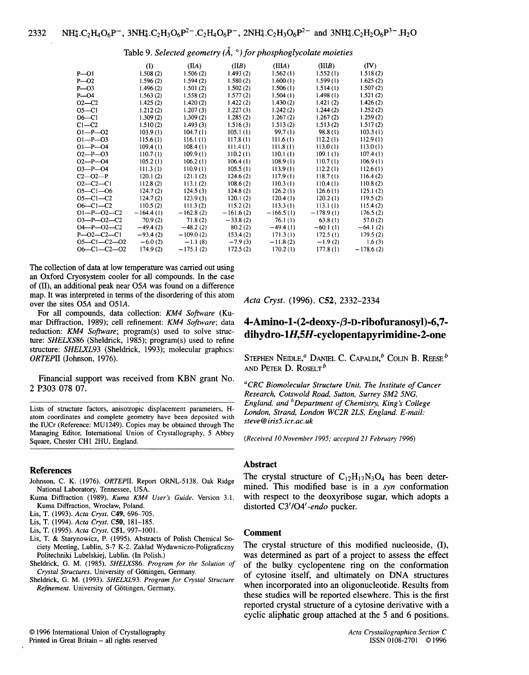Table 9. *Selected geometry* ( $\AA$ ,  $\degree$ ) for phosphoglycolate moieties

|                     | (I)         | (IIA)       | (IIB)       | (IIIA)      | (IIIB)      | (IV)        |
|---------------------|-------------|-------------|-------------|-------------|-------------|-------------|
| $P - Q1$            | 1.508(2)    | 1.506(2)    | 1.493(2)    | 1.562(1)    | 1.552(1)    | 1.518(2)    |
| $P - O2$            | 1.596(2)    | 1.594(2)    | 1.580(2)    | 1.600(1)    | 1.599(1)    | 1.625(2)    |
| $P - O3$            | 1.496(2)    | 1.501(2)    | 1.502(2)    | 1.506(1)    | 1.514(1)    | 1.507(2)    |
| $P - O4$            | 1.563(2)    | 1.558(2)    | 1.577(2)    | 1.504(1)    | 1.498(1)    | 1.521(2)    |
| $O2 - C2$           | 1.425(2)    | 1.420(2)    | 1.422(2)    | 1.430(2)    | 1.421(2)    | 1.426(2)    |
| $O5-C1$             | 1.212(2)    | 1.207(3)    | 1.227(3)    | 1.242(2)    | 1.244(2)    | 1.252(2)    |
| $06 - C1$           | 1.309(2)    | 1.309(2)    | 1.285(2)    | 1.267(2)    | 1.267(2)    | 1.259(2)    |
| $C1-C2$             | 1.510(2)    | 1.493(3)    | 1.516(3)    | 1.513(2)    | 1.513(2)    | 1.517(2)    |
| $O1-P-O2$           | 103.9(1)    | 104.7(1)    | 105.1(1)    | 99.7(1)     | 98.8(1)     | 103.3(1)    |
| $O1-P$ -03          | 115.6(1)    | 116.1(1)    | 117.8(1)    | 111.6(1)    | 112.2(1)    | 112.9(1)    |
| $O1 - P - O4$       | 109.4(1)    | 108.4(1)    | 111.4(1)    | 111.8(1)    | 113.0(1)    | 113.0(1)    |
| $O2-P$ -O3          | 110.7(1)    | 109.9(1)    | 110.2(1)    | 110.1(1)    | 109.1(1)    | 107.4(1)    |
| $O2-P-O4$           | 105.2(1)    | 106.2(1)    | 106.4(1)    | 108.9(1)    | 110.7(1)    | 106.9(1)    |
| $O3 - P - O4$       | 111.3(1)    | 110.9(1)    | 105.5(1)    | 113.9(1)    | 112.2(1)    | 112.6(1)    |
| $C2 - O2 - P$       | 120.1(2)    | 121.1(2)    | 124.6(2)    | 117.9(1)    | 118.7(1)    | 116.4(2)    |
| $O2 - C2 - C1$      | 112.8(2)    | 113.1(2)    | 108.6(2)    | 110.3(1)    | 110.4(1)    | 110.8(2)    |
| $O5 - Cl - O6$      | 124.7(2)    | 124.5(3)    | 124.8(2)    | 126.2(1)    | 126.6(1)    | 125.1(2)    |
| $O5 - Cl - C2$      | 124.7(2)    | 123.9(3)    | 120.1(2)    | 120.4(1)    | 120.2(1)    | 119.5(2)    |
| $06 - C1 - C2$      | 110.5(2)    | 111.3(2)    | 115.2(2)    | 113.3(1)    | 113.1(1)    | 115.4(2)    |
| $O1-P$ -O2-C2       | $-164.4(1)$ | $-162.8(2)$ | $-161.6(2)$ | $-166.5(1)$ | $-178.9(1)$ | 176.5(2)    |
| $O3-P$ -O2-C2       | 70.9 (2)    | 71.8(2)     | $-33.8(2)$  | 76.1(1)     | 63.8(1)     | 57.0(2)     |
| $O4 - P - O2 - C2$  | $-49.4(2)$  | $-48.2(2)$  | 80.2(2)     | $-49.4(1)$  | $-60.1(1)$  | $-64.1(2)$  |
| $P - 02 - C2 - C1$  | $-93.4(2)$  | $-109.0(2)$ | 153.4(2)    | 171.3(1)    | 172.5(1)    | 179.5(2)    |
| $O5 - Cl - C2 - O2$ | $-6.0(2)$   | $-1.1(8)$   | $-7.9(3)$   | $-11.8(2)$  | $-1.9(2)$   | 1.6(3)      |
| $06 - C1 - C2 - 02$ | 174.9(2)    | $-175.1(2)$ | 172.5(2)    | 170.2(1)    | 177.8(1)    | $-178.6(2)$ |

The collection of data at low temperature was carried out using an Oxford Cryosystem cooler for all compounds. In the case of (II), an additional peak near O5A was found on a difference map. It was interpreted in terms of the disordering of this atom over the sites O5A and 051A.

For all compounds, data collection: *KM4 Software* (Kumar Diffraction, 1989); cell refinement: *KM4 Software;* data reduction: *KM4 Software*; program(s) used to solve structure: *SHELXS86* (Sheldrick, 1985); program(s) used to refine structure: *SHELXL93* (Sheldrick, 1993); molecular graphics: *ORTEPII* (Johnson, 1976).

Financial support was received from KBN grant No. 2 P303 078 07.

Lists of structure factors, anisotropic displacement parameters, Hatom coordinates and complete geometry have been deposited with the IUCr (Reference: MU1249). Copies may be obtained through The Managing Editor, International Union of Crystallography, 5 Abbey Square, Chester CH1 2HU, England.

#### **References**

- Johnson, C. K. (1976). *ORTEPII.* Report ORNL-5138. Oak Ridge National Laboratory, Tennessee, USA.
- Kuma Diffraction (1989). *Kuma KM4 User's Guide.* Version 3.1. Kuma Diffraction, Wroctaw, Poland.
- Lis, T. (1993). *Acta Cryst.* C49, 696-705.
- Lis, T. (1994). *Acta Cryst.* C50, 181-185.
- Lis, T. (1995). *Acta Cryst.* C51, 997-1001.
- Lis, T. & Starynowicz, P. (1995). Abstracts of Polish Chemical Society Meeting, Lublin, S-7 K-2. Zaktad Wydawniczo-Poligraficzny Politechniki Lubelskiej, Lublin. (In Polish.)
- Sheldrick, G. M. (1985). *SHELXS86. Program for the Solution of*  Crystal Structures. University of Göttingen, Germany.
- Sheldrick, G. M. (1993). *SHELXL93. Program for Crystal Structure Refinement.* University of G6ttingen, Germany.

*Acta Cryst.* **(1996). C52, 2332-2334** 

# $4$ -Amino-1- $(2$ -deoxy- $\beta$ -D-ribofuranosyl)-6,7**dihydro- 1H,5H-cyclopentapyrimidine-2-one**

STEPHEN NEIDLE,<sup>*a*</sup> DANIEL C. CAPALDI,<sup>*b*</sup> COLIN B. REESE<sup>*b*</sup> **AND PETER D. ROSELT b** 

*aCRC Biomolecular Structure Unit, The Institute of Cancer Research, Cotswold Road, Sutton, Surrey SM2 5NG, England, and bDepartment of Chemistry, King's College London, Strand, London WC2R 2LS, England. E-mail: steve @ iris5, icr. ac. uk* 

*(Received 10 November 1995; accepted 21 February 1996)* 

# **Abstract**

The crystal structure of  $C_{12}H_{17}N_3O_4$  has been deter**mined. This modified base is in a syn conformation with respect to the deoxyribose sugar, which adopts a distorted** *C3'/04'-endo* **pucker.** 

#### **Comment**

The crystal structure of this modified nucleoside, (I), was determined as part of a project to assess the effect of the bulky cyclopentene ring on the conformation of cytosine itself, and ultimately on DNA structures when incorporated into an oligonucleotide. Results from these studies will be reported elsewhere. This is the first reported crystal structure of a cytosine derivative with a cyclic aliphatic group attached at the 5 and 6 positions.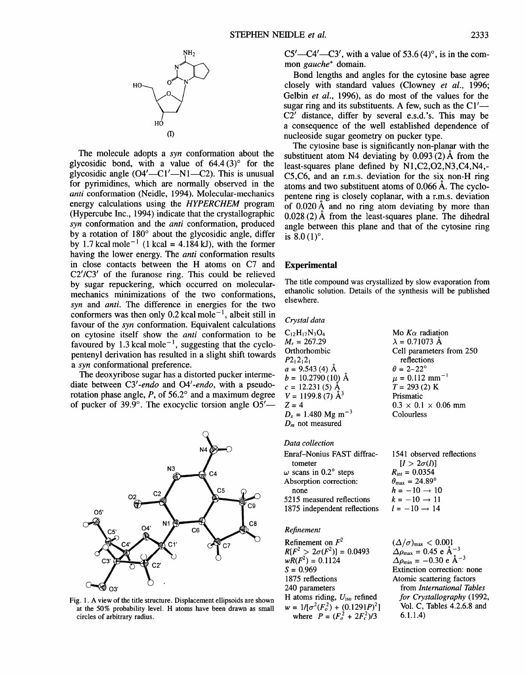

The molecule adopts a *syn* conformation about the glycosidic bond, with a value of  $64.4(3)^\circ$  for the glycosidic angle  $(O4' - Cl' - N1 - C2)$ . This is unusual for pyrimidines, which are normally observed in the *anti* conformation (Neidle, 1994). Molecular-mechanics energy calculations using the *HYPERCHEM* program (Hypercube Inc., 1994) indicate that the crystallographic *syn* conformation and the *anti* conformation, produced by a rotation of  $180^\circ$  about the glycosidic angle, differ by 1.7 kcal mole<sup>-1</sup> (1 kcal = 4.184 kJ), with the former having the lower energy. The *anti* conformation results in close contacts between the H atoms on C7 and C2'/C3' of the furanose ring. This could be relieved by sugar repuckering, which occurred on molecularmechanics minimizations of the two conformations, *syn* and *anti. The* difference in energies for the two conformers was then only 0.2 kcal mole<sup> $-1$ </sup>, albeit still in favour of the syn conformation. Equivalent calculations on cytosine itself show the *anti* conformation to be favoured by 1.3 kcal mole<sup> $-1$ </sup>, suggesting that the cyclopentenyl derivation has resulted in a slight shift towards *a syn* conformational preference.

The deoxyribose sugar has a distorted pucker intermediate between *C3'-endo and 04'-endo,* with a pseudorotation phase angle,  $P$ , of 56.2 $\degree$  and a maximum degree of pucker of 39.9 $^{\circ}$ . The exocyclic torsion angle O5'--



Fig. 1. A view of the title structure. Displacement ellipsoids are shown at the 50% probability level. H atoms have been drawn as small circles of arbitrary radius.

 $C5'$ — $C4'$ — $C3'$ , with a value of 53.6  $(4)^\circ$ , is in the common *gauche +* domain.

Bond lengths and angles for the cytosine base agree closely with standard values (Clowney *et al.,* 1996; Gelbin *et al.,* 1996), as do most of the values for the sugar ring and its substituents. A few, such as the  $Cl'$ --C2' distance, differ by several e.s.d.'s. This may be a consequence of the well established dependence of nucleoside sugar geometry on pucker type.

The cytosine base is significantly non-planar with the substituent atom N4 deviating by  $0.093(2)$  Å from the least-squares plane defined by N1,C2,O2,N3,C4,N4,- C5,C6, and an r.m.s, deviation for the six non-H ring atoms and two substituent atoms of  $0.066$  Å. The cyclopentene ring is closely coplanar, with a r.m.s, deviation of  $0.020 \text{\AA}$  and no ring atom deviating by more than  $0.028(2)$  Å from the least-squares plane. The dihedral angle between this plane and that of the cytosine ring **is 8.0 (1)°.** 

# **Experimental**

The title compound was crystallized by slow evaporation from ethanolic solution. Details of the synthesis will be published elsewhere.

| Crystal data            |                                |
|-------------------------|--------------------------------|
| $C_{12}H_{17}N_3O_4$    | Mo $K_{\alpha}$ radiation      |
| $M_r = 267.29$          | $\lambda = 0.71073$ Å          |
| Orthorhombic            | Cell parameters from 250       |
| $P2_12_12_1$            | reflections                    |
| $a = 9.543(4)$ Å        | $\theta = 2-22^{\circ}$        |
| $b = 10.2790(10)$ Å     | $\mu = 0.112$ mm <sup>-1</sup> |
| $c = 12.231(5)$ Å       | $T = 293(2) K$                 |
| $V = 1199.8(7)$ $\AA^3$ | Prismatic                      |

 $Z = 4$  0.3 × 0.1 × 0.06 mm<br>  $D_x = 1.480 \text{ Mg m}^{-3}$  Colourless  $D_r = 1.480 \text{ Mg m}^{-3}$ *Dm* not measured

*Data collection*  Enraf-Nonius FAST diffractometer  $\omega$  scans in 0.2° steps Absorption correction: none 5215 measured reflections 1875 independent reflections

# *Refinement*

Refinement on  $F^2$  $R[F^2 > 2\sigma(F^2)] = 0.0493$  $wR(F^2) = 0.1124$  $S = 0.969$ 1875 reflections 240 parameters H atoms riding,  $U_{\text{iso}}$  refined  $w = 1/[\sigma^2(F_o^2) + (0.1291P)^2]$ where  $P = (F_0^2 + 2F_c^2)/3$ 

1541 observed reflections  $[I > 2\sigma(I)]$  $R_{\text{int}} = 0.0354$  $\theta_{\text{max}} = 24.89^{\circ}$  $h = -10 \rightarrow 10$  $k = -10 \rightarrow 11$  $l = -10 \rightarrow 14$ 

 $(\Delta/\sigma)_{\text{max}} < 0.001$  $\Delta\rho_{\rm max} = 0.45 \text{ e} \text{ Å}^{-3}$  $\Delta \rho_{\text{min}} = -0.30 \text{ e } \text{\AA}^{-3}$ Extinction correction: none Atomic scattering factors from *International Tables for Crystallography* (1992, Vol. C, Tables 4.2.6.8 and 6.1.1.4)